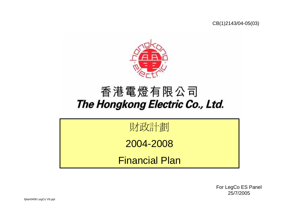CB(1)2143/04-05(03)



## 香港電燈有限公司 The Hongkong Electric Co., Ltd.



For LegCo ES Panel 25/7/2005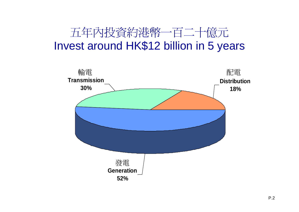## 五年內投資約港幣一百二十億元 Invest around HK\$12 billion in 5 years

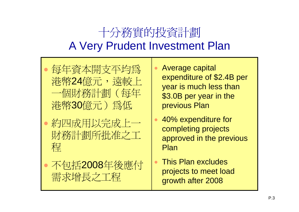#### 十分務實的投資計劃 A Very Prudent Investment Plan

- •每 年資本開支平均為 港幣24億元,遠較上 一個財務計劃(每 年 港幣30億元)為低
- $\bullet$  約四成用以完成上一 財務計劃所批准之工 程
- •不包括2008 年後應付 需求增長之工程
- • Average capital expenditure of \$2.4B per year is much less than \$3.0B per year in the previous Plan
- • 40% expenditure for completing projects approved in the previous Plan
- • This Plan excludes projects to meet load growth after 2008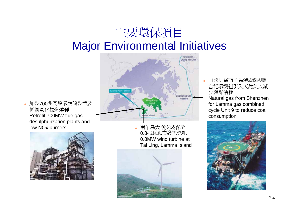#### 主要環保項目 Major Environmental Initiatives

# Sherizhen Cheng Tou Jian Pipeline

• 加裝700兆瓦煙氣脫硫裝置及 低氮氧化物燃燒器 Retrofit 700MW flue gas desulphurization plants and low NOx burners



• 南丫島大嶺安裝容量 0.8兆瓦風力發電機組 0.8MW wind turbine at Tai Ling, Lamma Island



• 由深圳為南丫第9號燃氣聯 合循環機組引入天然氣以減 少燃煤消耗

Natural gas from Shenzhen for Lamma gas combined cycle Unit 9 to reduce coal consumption

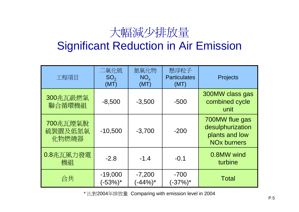## 大幅減少排放量

#### Significant Reduction in Air Emission

| 工程項目                         | 二氧化硫<br>SO <sub>2</sub><br>(MT) | 氮氧化物<br>$NO_{x}$<br>(MT) | 懸浮粒子<br><b>Particulates</b><br>(MT) | Projects                                                                              |
|------------------------------|---------------------------------|--------------------------|-------------------------------------|---------------------------------------------------------------------------------------|
| 300兆瓦級燃氣<br>聯合循環機組           | $-8,500$                        | $-3,500$                 | $-500$                              | 300MW class gas<br>combined cycle<br>unit                                             |
| 700兆瓦煙氣脫<br>硫裝置及低氮氧<br>化物燃燒器 | $-10,500$                       | $-3,700$                 | $-200$                              | 700MW flue gas<br>desulphurization<br>plants and low<br><b>NO<sub>x</sub></b> burners |
| 0.8兆瓦風力發電<br>機組              | $-2.8$                          | $-1.4$                   | $-0.1$                              | 0.8MW wind<br>turbine                                                                 |
| 合共                           | $-19,000$<br>$(-53%)^*$         | $-7,200$<br>$(-44%)^*$   | $-700$<br>$(-37%)^*$                | <b>Total</b>                                                                          |

\* 比對2004年排放量 Comparing with emission level in 2004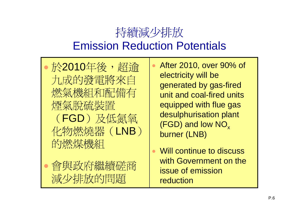#### 持續減少排放 Emission Reduction Potentials

•

•於2010年後,超逾 九成的發電將來自 燃氣機組和配備有 煙氣脫 硫裝置 (FGD)及低氯氧 化物燃燒器(LNB) 的燃煤機組  $\bullet$ 

 會與政府繼續磋商 減少排放的問題

 After 2010, over 90% of electricity will be generated by gas-fired unit and coal-fired units equipped with flue gas desulphurisation plant (FGD) and low  $\mathsf{NO}_\mathsf{x}$ burner (LNB)

 $\bullet$  Will continue to discuss with Government on the issue of emission reduction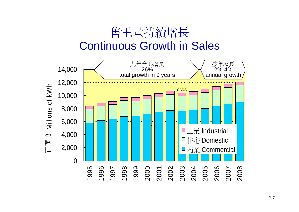#### 售電 量持續增長 Continuous Growth in Sales

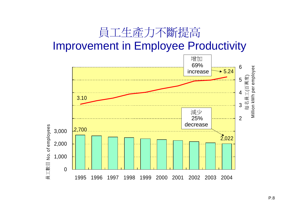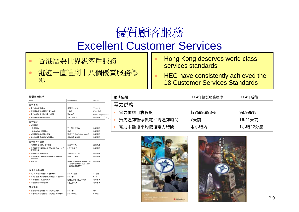# 優質顧客服務

#### Excellent Customer Services

- •香港需要世界級客戶服務
- • 港燈一直達到十八個優質服務標 準
- • Hong Kong deserves world class services standards
- • HEC have consistently achieved the 18 Customer Services Standards

| 優質服務標準                         |                                            |         |
|--------------------------------|--------------------------------------------|---------|
| 服務種類                           | 2004年優賞服務標準                                | 2004年成積 |
| 電力供應                           |                                            |         |
| • 電力供應可靠程度                     | 超過99.998%                                  | 99.999% |
| • 預先涌知暫停供雷平均涌知時間               | 7天前                                        | 16.41天前 |
| •雷力中斷後平均恢復雷力時間                 | 兩小時內                                       | 1小時22分鐘 |
| • 雷能質量查詢的現場調査                  | 3個工作天內                                     | 達到標準    |
| 電力接駁                           |                                            |         |
| • 接駁電源                         |                                            |         |
| - 毌須驗線                         | 下一個工作天內                                    | 達到標準    |
| - 驗線合格後安裝雷表                    | 即時                                         | 達到標準    |
| • 接駁電源驗線的預約服務                  | 兩個工作天內的1½小時時段                              | 達到標準    |
| • 清繳渝期雷費後重新接駁雷力                | 收到繳費後當日                                    | 達到標準    |
| 電力賬戶及電表                        |                                            |         |
| • 因應客戶要求終止電力賬戶                 | 兩個工作天內                                     | 達到標準    |
| • 客戶辦妥所有授權手續及取消賬戶後,以支<br>票退回按金 | 5個工作天內                                     | 達到標準    |
| • 申請提供特別讀表服務                   | 下一個工作天內                                    | 達到標準    |
| • 收到審核中心確認後,處理有關電費優惠計<br>劃的申請  | 兩個工作天內                                     | 達到標準    |
| ・雷表測試                          | 標準實驗室的計量準確程度獲<br>「香港實驗所認可計劃」認可<br>,追溯至國際標準 | 達到標準    |
| 客戶杳詢及繳費                        |                                            |         |
| • 客戶中心櫃位服務平均等候時間               | 少於3½分鐘                                     | 2.3分鐘   |
| • 中客戶服務代表接聽雷話杳詢平均等候時間          | 少於9秒                                       | 8.7秒    |
| • 回覆有關賬戶的書面杳詢                  | 接獲查詢後7個工作天內                                | 達到標準    |
| • 耗電量查詢的現場調査                   | 3個工作天內                                     | 達到標準    |
| 緊急召援                           |                                            |         |
| • 致電客戶緊急服務中心平均等候時間             | 少於9秒                                       | 3秒      |
| • 回應市區內緊急召援之平均到達現場時間           | 少於28分鐘                                     | 19分鐘    |

| 服務種類 |                | 2004年優質服務標準 | 2004年成積 |
|------|----------------|-------------|---------|
| 電力供應 |                |             |         |
|      | 電力供應可靠程度       | 超過99.998%   | 99.999% |
|      | 預先通知暫停供電平均通知時間 | 7天前         | 16.41天前 |
|      | 電力中斷後平均恢復電力時間  | 兩小時內        | 1小時22分鐘 |



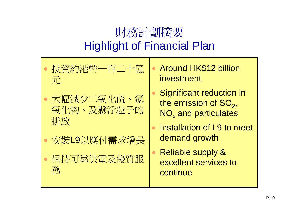# 財務計劃摘要 Highlight of Financial Plan

- $\bullet$ 投資約港幣一百二十億 元
- 大幅減少二氧化硫、氮 氧化物、及懸浮粒子的 排放
- $\bullet$ 安裝L9以應付需求增長
- • 保持可靠供電及優質服 務
- • Around HK\$12 billion investment
- $\bullet$  Significant reduction in the emission of  $SO<sub>2</sub>$ , NO $_\mathrm{\mathsf{x}}$  and particulates
- $\bullet$  Installation of L9 to meet demand growth
- $\bullet$  Reliable supply & excellent services to continue